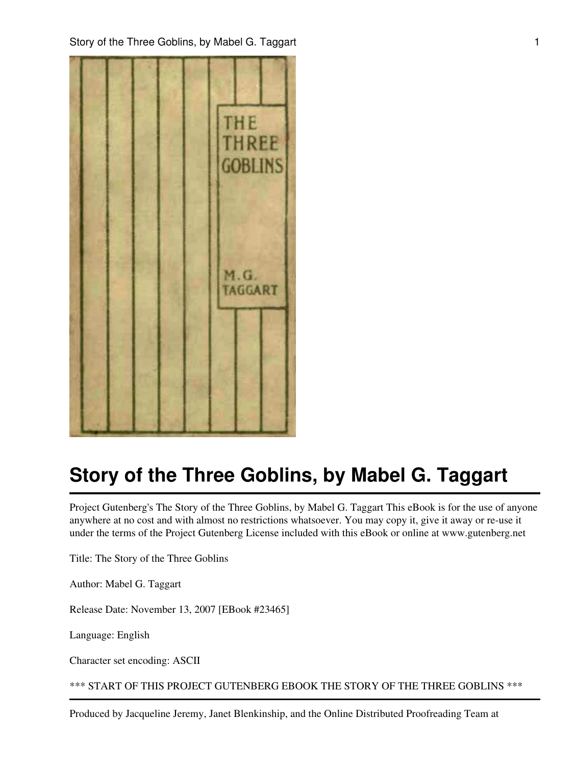

Project Gutenberg's The Story of the Three Goblins, by Mabel G. Taggart This eBook is for the use of anyone anywhere at no cost and with almost no restrictions whatsoever. You may copy it, give it away or re-use it under the terms of the Project Gutenberg License included with this eBook or online at www.gutenberg.net

Title: The Story of the Three Goblins

Author: Mabel G. Taggart

Release Date: November 13, 2007 [EBook #23465]

Language: English

Character set encoding: ASCII

\*\*\* START OF THIS PROJECT GUTENBERG EBOOK THE STORY OF THE THREE GOBLINS \*\*\*

Produced by Jacqueline Jeremy, Janet Blenkinship, and the Online Distributed Proofreading Team at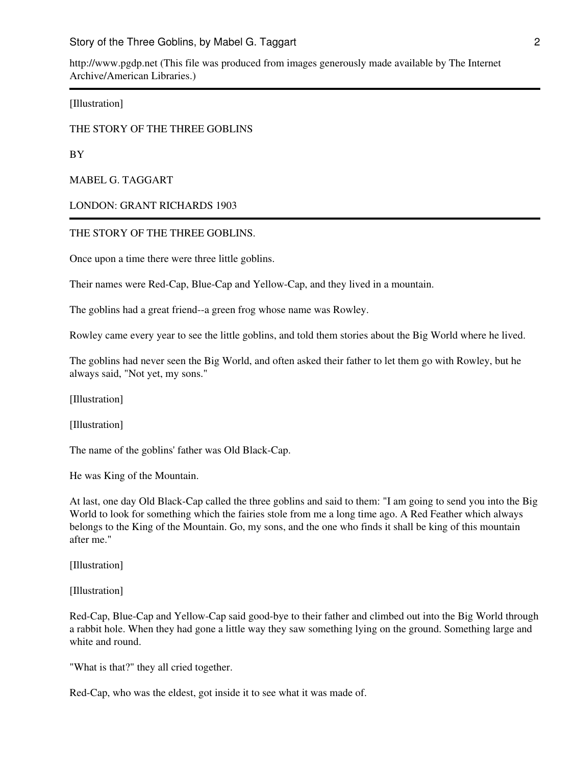http://www.pgdp.net (This file was produced from images generously made available by The Internet Archive/American Libraries.)

[Illustration]

#### THE STORY OF THE THREE GOBLINS

BY

MABEL G. TAGGART

LONDON: GRANT RICHARDS 1903

#### THE STORY OF THE THREE GOBLINS.

Once upon a time there were three little goblins.

Their names were Red-Cap, Blue-Cap and Yellow-Cap, and they lived in a mountain.

The goblins had a great friend--a green frog whose name was Rowley.

Rowley came every year to see the little goblins, and told them stories about the Big World where he lived.

The goblins had never seen the Big World, and often asked their father to let them go with Rowley, but he always said, "Not yet, my sons."

[Illustration]

[Illustration]

The name of the goblins' father was Old Black-Cap.

He was King of the Mountain.

At last, one day Old Black-Cap called the three goblins and said to them: "I am going to send you into the Big World to look for something which the fairies stole from me a long time ago. A Red Feather which always belongs to the King of the Mountain. Go, my sons, and the one who finds it shall be king of this mountain after me."

[Illustration]

[Illustration]

Red-Cap, Blue-Cap and Yellow-Cap said good-bye to their father and climbed out into the Big World through a rabbit hole. When they had gone a little way they saw something lying on the ground. Something large and white and round.

"What is that?" they all cried together.

Red-Cap, who was the eldest, got inside it to see what it was made of.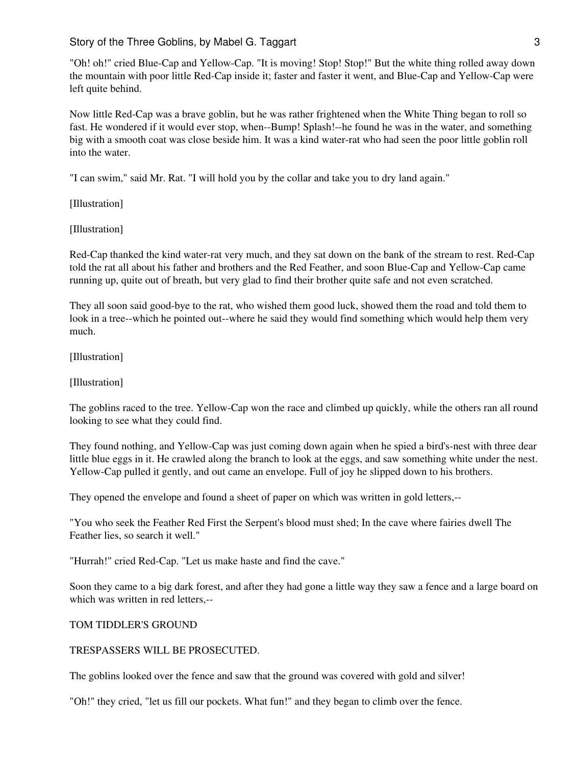"Oh! oh!" cried Blue-Cap and Yellow-Cap. "It is moving! Stop! Stop!" But the white thing rolled away down the mountain with poor little Red-Cap inside it; faster and faster it went, and Blue-Cap and Yellow-Cap were left quite behind.

Now little Red-Cap was a brave goblin, but he was rather frightened when the White Thing began to roll so fast. He wondered if it would ever stop, when--Bump! Splash!--he found he was in the water, and something big with a smooth coat was close beside him. It was a kind water-rat who had seen the poor little goblin roll into the water.

"I can swim," said Mr. Rat. "I will hold you by the collar and take you to dry land again."

[Illustration]

[Illustration]

Red-Cap thanked the kind water-rat very much, and they sat down on the bank of the stream to rest. Red-Cap told the rat all about his father and brothers and the Red Feather, and soon Blue-Cap and Yellow-Cap came running up, quite out of breath, but very glad to find their brother quite safe and not even scratched.

They all soon said good-bye to the rat, who wished them good luck, showed them the road and told them to look in a tree--which he pointed out--where he said they would find something which would help them very much.

[Illustration]

[Illustration]

The goblins raced to the tree. Yellow-Cap won the race and climbed up quickly, while the others ran all round looking to see what they could find.

They found nothing, and Yellow-Cap was just coming down again when he spied a bird's-nest with three dear little blue eggs in it. He crawled along the branch to look at the eggs, and saw something white under the nest. Yellow-Cap pulled it gently, and out came an envelope. Full of joy he slipped down to his brothers.

They opened the envelope and found a sheet of paper on which was written in gold letters,--

"You who seek the Feather Red First the Serpent's blood must shed; In the cave where fairies dwell The Feather lies, so search it well."

"Hurrah!" cried Red-Cap. "Let us make haste and find the cave."

Soon they came to a big dark forest, and after they had gone a little way they saw a fence and a large board on which was written in red letters,--

#### TOM TIDDLER'S GROUND

#### TRESPASSERS WILL BE PROSECUTED.

The goblins looked over the fence and saw that the ground was covered with gold and silver!

"Oh!" they cried, "let us fill our pockets. What fun!" and they began to climb over the fence.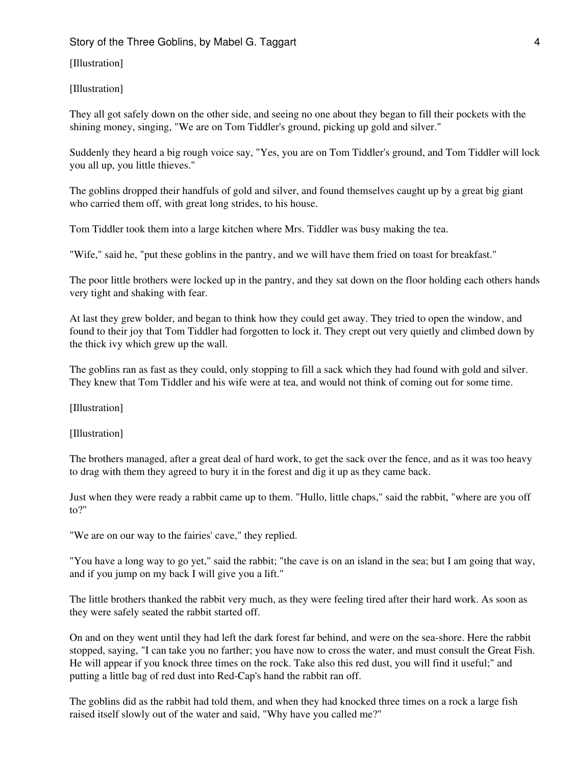#### [Illustration]

#### [Illustration]

They all got safely down on the other side, and seeing no one about they began to fill their pockets with the shining money, singing, "We are on Tom Tiddler's ground, picking up gold and silver."

Suddenly they heard a big rough voice say, "Yes, you are on Tom Tiddler's ground, and Tom Tiddler will lock you all up, you little thieves."

The goblins dropped their handfuls of gold and silver, and found themselves caught up by a great big giant who carried them off, with great long strides, to his house.

Tom Tiddler took them into a large kitchen where Mrs. Tiddler was busy making the tea.

"Wife," said he, "put these goblins in the pantry, and we will have them fried on toast for breakfast."

The poor little brothers were locked up in the pantry, and they sat down on the floor holding each others hands very tight and shaking with fear.

At last they grew bolder, and began to think how they could get away. They tried to open the window, and found to their joy that Tom Tiddler had forgotten to lock it. They crept out very quietly and climbed down by the thick ivy which grew up the wall.

The goblins ran as fast as they could, only stopping to fill a sack which they had found with gold and silver. They knew that Tom Tiddler and his wife were at tea, and would not think of coming out for some time.

[Illustration]

[Illustration]

The brothers managed, after a great deal of hard work, to get the sack over the fence, and as it was too heavy to drag with them they agreed to bury it in the forest and dig it up as they came back.

Just when they were ready a rabbit came up to them. "Hullo, little chaps," said the rabbit, "where are you off to?"

"We are on our way to the fairies' cave," they replied.

"You have a long way to go yet," said the rabbit; "the cave is on an island in the sea; but I am going that way, and if you jump on my back I will give you a lift."

The little brothers thanked the rabbit very much, as they were feeling tired after their hard work. As soon as they were safely seated the rabbit started off.

On and on they went until they had left the dark forest far behind, and were on the sea-shore. Here the rabbit stopped, saying, "I can take you no farther; you have now to cross the water, and must consult the Great Fish. He will appear if you knock three times on the rock. Take also this red dust, you will find it useful;" and putting a little bag of red dust into Red-Cap's hand the rabbit ran off.

The goblins did as the rabbit had told them, and when they had knocked three times on a rock a large fish raised itself slowly out of the water and said, "Why have you called me?"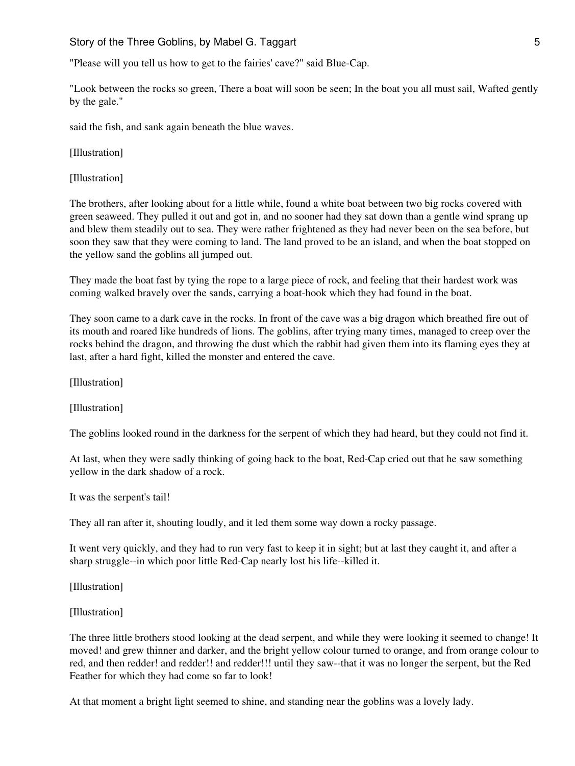"Please will you tell us how to get to the fairies' cave?" said Blue-Cap.

"Look between the rocks so green, There a boat will soon be seen; In the boat you all must sail, Wafted gently by the gale."

said the fish, and sank again beneath the blue waves.

[Illustration]

[Illustration]

The brothers, after looking about for a little while, found a white boat between two big rocks covered with green seaweed. They pulled it out and got in, and no sooner had they sat down than a gentle wind sprang up and blew them steadily out to sea. They were rather frightened as they had never been on the sea before, but soon they saw that they were coming to land. The land proved to be an island, and when the boat stopped on the yellow sand the goblins all jumped out.

They made the boat fast by tying the rope to a large piece of rock, and feeling that their hardest work was coming walked bravely over the sands, carrying a boat-hook which they had found in the boat.

They soon came to a dark cave in the rocks. In front of the cave was a big dragon which breathed fire out of its mouth and roared like hundreds of lions. The goblins, after trying many times, managed to creep over the rocks behind the dragon, and throwing the dust which the rabbit had given them into its flaming eyes they at last, after a hard fight, killed the monster and entered the cave.

[Illustration]

[Illustration]

The goblins looked round in the darkness for the serpent of which they had heard, but they could not find it.

At last, when they were sadly thinking of going back to the boat, Red-Cap cried out that he saw something yellow in the dark shadow of a rock.

It was the serpent's tail!

They all ran after it, shouting loudly, and it led them some way down a rocky passage.

It went very quickly, and they had to run very fast to keep it in sight; but at last they caught it, and after a sharp struggle--in which poor little Red-Cap nearly lost his life--killed it.

[Illustration]

[Illustration]

The three little brothers stood looking at the dead serpent, and while they were looking it seemed to change! It moved! and grew thinner and darker, and the bright yellow colour turned to orange, and from orange colour to red, and then redder! and redder!! and redder!!! until they saw--that it was no longer the serpent, but the Red Feather for which they had come so far to look!

At that moment a bright light seemed to shine, and standing near the goblins was a lovely lady.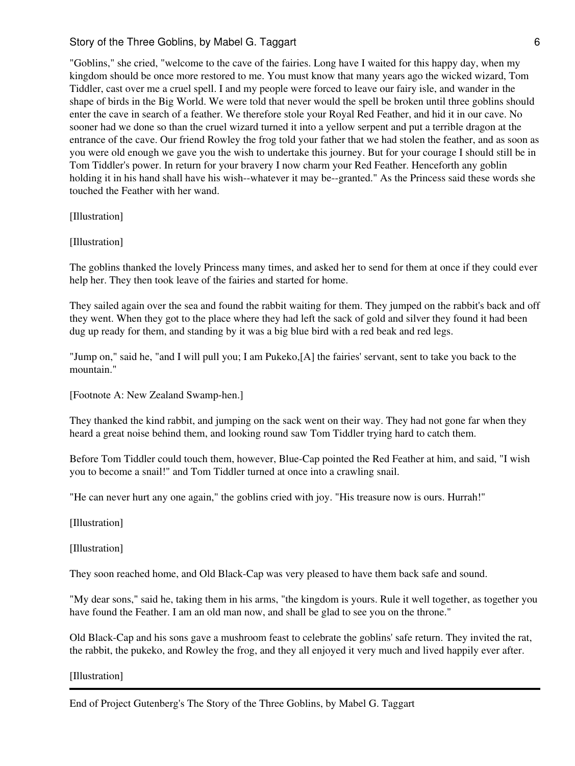"Goblins," she cried, "welcome to the cave of the fairies. Long have I waited for this happy day, when my kingdom should be once more restored to me. You must know that many years ago the wicked wizard, Tom Tiddler, cast over me a cruel spell. I and my people were forced to leave our fairy isle, and wander in the shape of birds in the Big World. We were told that never would the spell be broken until three goblins should enter the cave in search of a feather. We therefore stole your Royal Red Feather, and hid it in our cave. No sooner had we done so than the cruel wizard turned it into a yellow serpent and put a terrible dragon at the entrance of the cave. Our friend Rowley the frog told your father that we had stolen the feather, and as soon as you were old enough we gave you the wish to undertake this journey. But for your courage I should still be in Tom Tiddler's power. In return for your bravery I now charm your Red Feather. Henceforth any goblin holding it in his hand shall have his wish--whatever it may be--granted." As the Princess said these words she touched the Feather with her wand.

[Illustration]

[Illustration]

The goblins thanked the lovely Princess many times, and asked her to send for them at once if they could ever help her. They then took leave of the fairies and started for home.

They sailed again over the sea and found the rabbit waiting for them. They jumped on the rabbit's back and off they went. When they got to the place where they had left the sack of gold and silver they found it had been dug up ready for them, and standing by it was a big blue bird with a red beak and red legs.

"Jump on," said he, "and I will pull you; I am Pukeko,[A] the fairies' servant, sent to take you back to the mountain."

[Footnote A: New Zealand Swamp-hen.]

They thanked the kind rabbit, and jumping on the sack went on their way. They had not gone far when they heard a great noise behind them, and looking round saw Tom Tiddler trying hard to catch them.

Before Tom Tiddler could touch them, however, Blue-Cap pointed the Red Feather at him, and said, "I wish you to become a snail!" and Tom Tiddler turned at once into a crawling snail.

"He can never hurt any one again," the goblins cried with joy. "His treasure now is ours. Hurrah!"

[Illustration]

[Illustration]

They soon reached home, and Old Black-Cap was very pleased to have them back safe and sound.

"My dear sons," said he, taking them in his arms, "the kingdom is yours. Rule it well together, as together you have found the Feather. I am an old man now, and shall be glad to see you on the throne."

Old Black-Cap and his sons gave a mushroom feast to celebrate the goblins' safe return. They invited the rat, the rabbit, the pukeko, and Rowley the frog, and they all enjoyed it very much and lived happily ever after.

[Illustration]

End of Project Gutenberg's The Story of the Three Goblins, by Mabel G. Taggart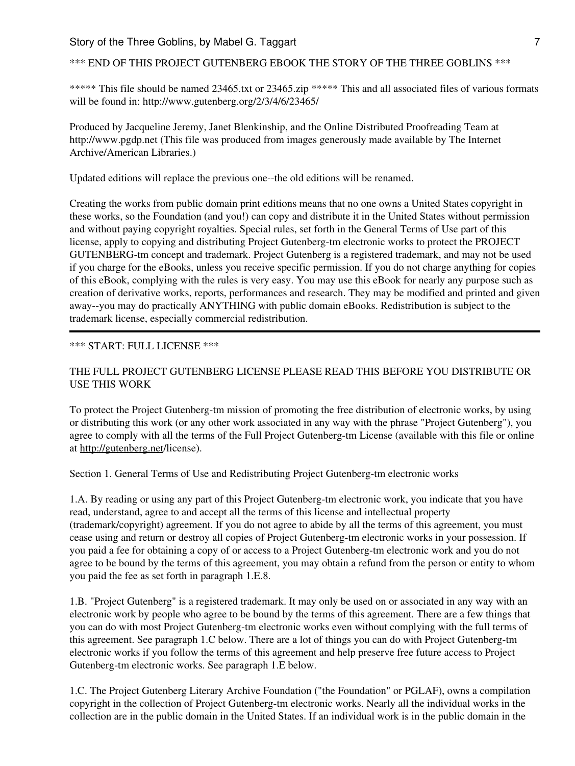## \*\*\* END OF THIS PROJECT GUTENBERG EBOOK THE STORY OF THE THREE GOBLINS \*\*\*

\*\*\*\*\* This file should be named 23465.txt or 23465.zip \*\*\*\*\* This and all associated files of various formats will be found in: http://www.gutenberg.org/2/3/4/6/23465/

Produced by Jacqueline Jeremy, Janet Blenkinship, and the Online Distributed Proofreading Team at http://www.pgdp.net (This file was produced from images generously made available by The Internet Archive/American Libraries.)

Updated editions will replace the previous one--the old editions will be renamed.

Creating the works from public domain print editions means that no one owns a United States copyright in these works, so the Foundation (and you!) can copy and distribute it in the United States without permission and without paying copyright royalties. Special rules, set forth in the General Terms of Use part of this license, apply to copying and distributing Project Gutenberg-tm electronic works to protect the PROJECT GUTENBERG-tm concept and trademark. Project Gutenberg is a registered trademark, and may not be used if you charge for the eBooks, unless you receive specific permission. If you do not charge anything for copies of this eBook, complying with the rules is very easy. You may use this eBook for nearly any purpose such as creation of derivative works, reports, performances and research. They may be modified and printed and given away--you may do practically ANYTHING with public domain eBooks. Redistribution is subject to the trademark license, especially commercial redistribution.

#### \*\*\* START: FULL LICENSE \*\*\*

## THE FULL PROJECT GUTENBERG LICENSE PLEASE READ THIS BEFORE YOU DISTRIBUTE OR USE THIS WORK

To protect the Project Gutenberg-tm mission of promoting the free distribution of electronic works, by using or distributing this work (or any other work associated in any way with the phrase "Project Gutenberg"), you agree to comply with all the terms of the Full Project Gutenberg-tm License (available with this file or online at <http://gutenberg.net>/license).

Section 1. General Terms of Use and Redistributing Project Gutenberg-tm electronic works

1.A. By reading or using any part of this Project Gutenberg-tm electronic work, you indicate that you have read, understand, agree to and accept all the terms of this license and intellectual property (trademark/copyright) agreement. If you do not agree to abide by all the terms of this agreement, you must cease using and return or destroy all copies of Project Gutenberg-tm electronic works in your possession. If you paid a fee for obtaining a copy of or access to a Project Gutenberg-tm electronic work and you do not agree to be bound by the terms of this agreement, you may obtain a refund from the person or entity to whom you paid the fee as set forth in paragraph 1.E.8.

1.B. "Project Gutenberg" is a registered trademark. It may only be used on or associated in any way with an electronic work by people who agree to be bound by the terms of this agreement. There are a few things that you can do with most Project Gutenberg-tm electronic works even without complying with the full terms of this agreement. See paragraph 1.C below. There are a lot of things you can do with Project Gutenberg-tm electronic works if you follow the terms of this agreement and help preserve free future access to Project Gutenberg-tm electronic works. See paragraph 1.E below.

1.C. The Project Gutenberg Literary Archive Foundation ("the Foundation" or PGLAF), owns a compilation copyright in the collection of Project Gutenberg-tm electronic works. Nearly all the individual works in the collection are in the public domain in the United States. If an individual work is in the public domain in the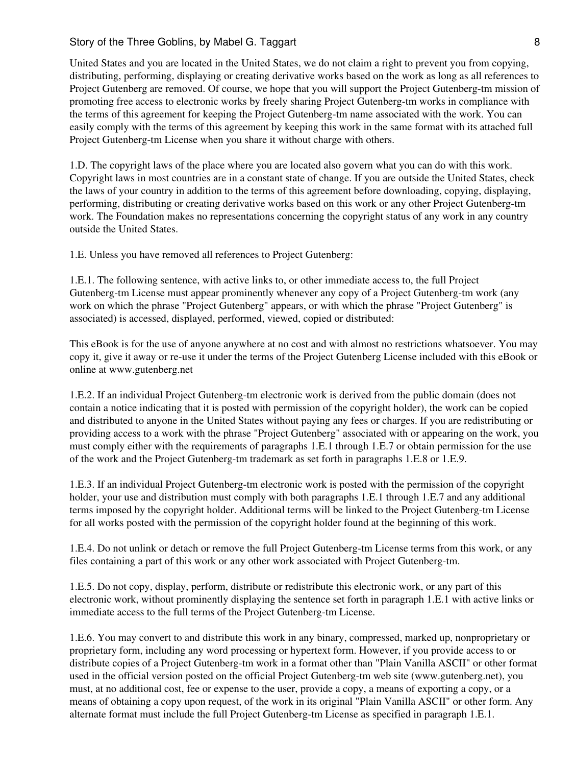United States and you are located in the United States, we do not claim a right to prevent you from copying, distributing, performing, displaying or creating derivative works based on the work as long as all references to Project Gutenberg are removed. Of course, we hope that you will support the Project Gutenberg-tm mission of promoting free access to electronic works by freely sharing Project Gutenberg-tm works in compliance with the terms of this agreement for keeping the Project Gutenberg-tm name associated with the work. You can easily comply with the terms of this agreement by keeping this work in the same format with its attached full Project Gutenberg-tm License when you share it without charge with others.

1.D. The copyright laws of the place where you are located also govern what you can do with this work. Copyright laws in most countries are in a constant state of change. If you are outside the United States, check the laws of your country in addition to the terms of this agreement before downloading, copying, displaying, performing, distributing or creating derivative works based on this work or any other Project Gutenberg-tm work. The Foundation makes no representations concerning the copyright status of any work in any country outside the United States.

1.E. Unless you have removed all references to Project Gutenberg:

1.E.1. The following sentence, with active links to, or other immediate access to, the full Project Gutenberg-tm License must appear prominently whenever any copy of a Project Gutenberg-tm work (any work on which the phrase "Project Gutenberg" appears, or with which the phrase "Project Gutenberg" is associated) is accessed, displayed, performed, viewed, copied or distributed:

This eBook is for the use of anyone anywhere at no cost and with almost no restrictions whatsoever. You may copy it, give it away or re-use it under the terms of the Project Gutenberg License included with this eBook or online at www.gutenberg.net

1.E.2. If an individual Project Gutenberg-tm electronic work is derived from the public domain (does not contain a notice indicating that it is posted with permission of the copyright holder), the work can be copied and distributed to anyone in the United States without paying any fees or charges. If you are redistributing or providing access to a work with the phrase "Project Gutenberg" associated with or appearing on the work, you must comply either with the requirements of paragraphs 1.E.1 through 1.E.7 or obtain permission for the use of the work and the Project Gutenberg-tm trademark as set forth in paragraphs 1.E.8 or 1.E.9.

1.E.3. If an individual Project Gutenberg-tm electronic work is posted with the permission of the copyright holder, your use and distribution must comply with both paragraphs 1.E.1 through 1.E.7 and any additional terms imposed by the copyright holder. Additional terms will be linked to the Project Gutenberg-tm License for all works posted with the permission of the copyright holder found at the beginning of this work.

1.E.4. Do not unlink or detach or remove the full Project Gutenberg-tm License terms from this work, or any files containing a part of this work or any other work associated with Project Gutenberg-tm.

1.E.5. Do not copy, display, perform, distribute or redistribute this electronic work, or any part of this electronic work, without prominently displaying the sentence set forth in paragraph 1.E.1 with active links or immediate access to the full terms of the Project Gutenberg-tm License.

1.E.6. You may convert to and distribute this work in any binary, compressed, marked up, nonproprietary or proprietary form, including any word processing or hypertext form. However, if you provide access to or distribute copies of a Project Gutenberg-tm work in a format other than "Plain Vanilla ASCII" or other format used in the official version posted on the official Project Gutenberg-tm web site (www.gutenberg.net), you must, at no additional cost, fee or expense to the user, provide a copy, a means of exporting a copy, or a means of obtaining a copy upon request, of the work in its original "Plain Vanilla ASCII" or other form. Any alternate format must include the full Project Gutenberg-tm License as specified in paragraph 1.E.1.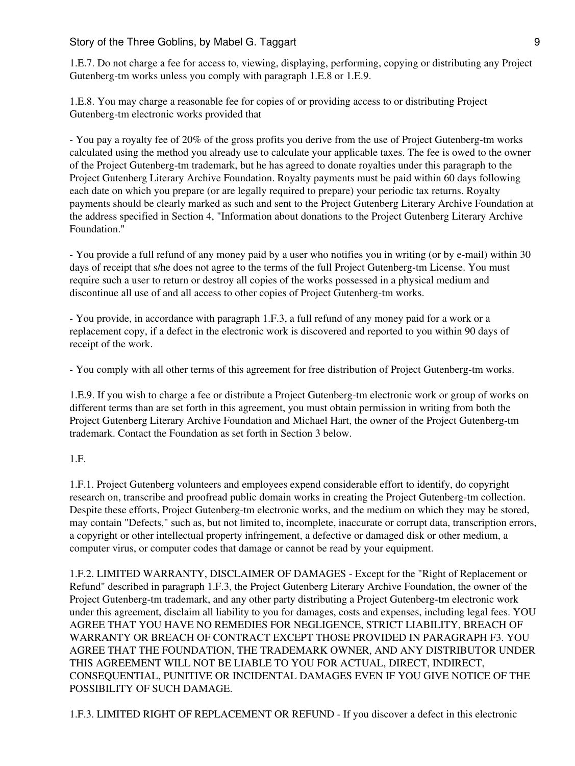1.E.7. Do not charge a fee for access to, viewing, displaying, performing, copying or distributing any Project Gutenberg-tm works unless you comply with paragraph 1.E.8 or 1.E.9.

1.E.8. You may charge a reasonable fee for copies of or providing access to or distributing Project Gutenberg-tm electronic works provided that

- You pay a royalty fee of 20% of the gross profits you derive from the use of Project Gutenberg-tm works calculated using the method you already use to calculate your applicable taxes. The fee is owed to the owner of the Project Gutenberg-tm trademark, but he has agreed to donate royalties under this paragraph to the Project Gutenberg Literary Archive Foundation. Royalty payments must be paid within 60 days following each date on which you prepare (or are legally required to prepare) your periodic tax returns. Royalty payments should be clearly marked as such and sent to the Project Gutenberg Literary Archive Foundation at the address specified in Section 4, "Information about donations to the Project Gutenberg Literary Archive Foundation."

- You provide a full refund of any money paid by a user who notifies you in writing (or by e-mail) within 30 days of receipt that s/he does not agree to the terms of the full Project Gutenberg-tm License. You must require such a user to return or destroy all copies of the works possessed in a physical medium and discontinue all use of and all access to other copies of Project Gutenberg-tm works.

- You provide, in accordance with paragraph 1.F.3, a full refund of any money paid for a work or a replacement copy, if a defect in the electronic work is discovered and reported to you within 90 days of receipt of the work.

- You comply with all other terms of this agreement for free distribution of Project Gutenberg-tm works.

1.E.9. If you wish to charge a fee or distribute a Project Gutenberg-tm electronic work or group of works on different terms than are set forth in this agreement, you must obtain permission in writing from both the Project Gutenberg Literary Archive Foundation and Michael Hart, the owner of the Project Gutenberg-tm trademark. Contact the Foundation as set forth in Section 3 below.

#### 1.F.

1.F.1. Project Gutenberg volunteers and employees expend considerable effort to identify, do copyright research on, transcribe and proofread public domain works in creating the Project Gutenberg-tm collection. Despite these efforts, Project Gutenberg-tm electronic works, and the medium on which they may be stored, may contain "Defects," such as, but not limited to, incomplete, inaccurate or corrupt data, transcription errors, a copyright or other intellectual property infringement, a defective or damaged disk or other medium, a computer virus, or computer codes that damage or cannot be read by your equipment.

1.F.2. LIMITED WARRANTY, DISCLAIMER OF DAMAGES - Except for the "Right of Replacement or Refund" described in paragraph 1.F.3, the Project Gutenberg Literary Archive Foundation, the owner of the Project Gutenberg-tm trademark, and any other party distributing a Project Gutenberg-tm electronic work under this agreement, disclaim all liability to you for damages, costs and expenses, including legal fees. YOU AGREE THAT YOU HAVE NO REMEDIES FOR NEGLIGENCE, STRICT LIABILITY, BREACH OF WARRANTY OR BREACH OF CONTRACT EXCEPT THOSE PROVIDED IN PARAGRAPH F3. YOU AGREE THAT THE FOUNDATION, THE TRADEMARK OWNER, AND ANY DISTRIBUTOR UNDER THIS AGREEMENT WILL NOT BE LIABLE TO YOU FOR ACTUAL, DIRECT, INDIRECT, CONSEQUENTIAL, PUNITIVE OR INCIDENTAL DAMAGES EVEN IF YOU GIVE NOTICE OF THE POSSIBILITY OF SUCH DAMAGE.

1.F.3. LIMITED RIGHT OF REPLACEMENT OR REFUND - If you discover a defect in this electronic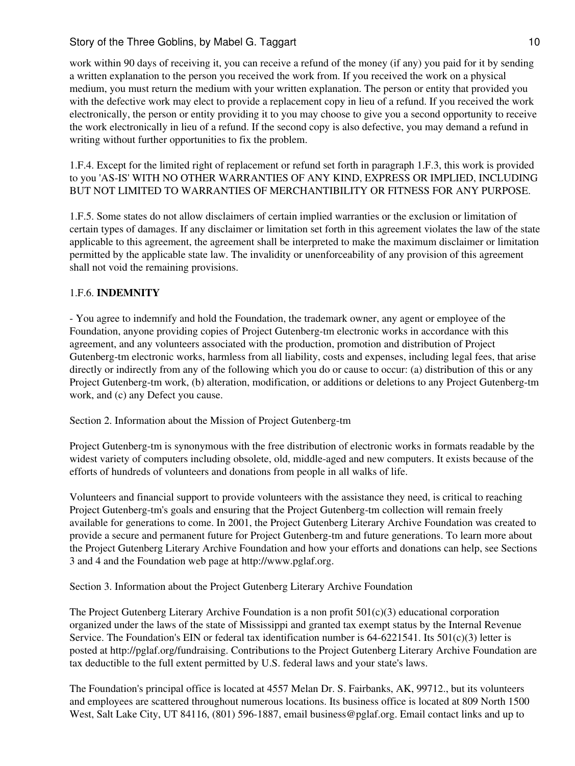work within 90 days of receiving it, you can receive a refund of the money (if any) you paid for it by sending a written explanation to the person you received the work from. If you received the work on a physical medium, you must return the medium with your written explanation. The person or entity that provided you with the defective work may elect to provide a replacement copy in lieu of a refund. If you received the work electronically, the person or entity providing it to you may choose to give you a second opportunity to receive the work electronically in lieu of a refund. If the second copy is also defective, you may demand a refund in writing without further opportunities to fix the problem.

1.F.4. Except for the limited right of replacement or refund set forth in paragraph 1.F.3, this work is provided to you 'AS-IS' WITH NO OTHER WARRANTIES OF ANY KIND, EXPRESS OR IMPLIED, INCLUDING BUT NOT LIMITED TO WARRANTIES OF MERCHANTIBILITY OR FITNESS FOR ANY PURPOSE.

1.F.5. Some states do not allow disclaimers of certain implied warranties or the exclusion or limitation of certain types of damages. If any disclaimer or limitation set forth in this agreement violates the law of the state applicable to this agreement, the agreement shall be interpreted to make the maximum disclaimer or limitation permitted by the applicable state law. The invalidity or unenforceability of any provision of this agreement shall not void the remaining provisions.

## 1.F.6. **INDEMNITY**

- You agree to indemnify and hold the Foundation, the trademark owner, any agent or employee of the Foundation, anyone providing copies of Project Gutenberg-tm electronic works in accordance with this agreement, and any volunteers associated with the production, promotion and distribution of Project Gutenberg-tm electronic works, harmless from all liability, costs and expenses, including legal fees, that arise directly or indirectly from any of the following which you do or cause to occur: (a) distribution of this or any Project Gutenberg-tm work, (b) alteration, modification, or additions or deletions to any Project Gutenberg-tm work, and (c) any Defect you cause.

Section 2. Information about the Mission of Project Gutenberg-tm

Project Gutenberg-tm is synonymous with the free distribution of electronic works in formats readable by the widest variety of computers including obsolete, old, middle-aged and new computers. It exists because of the efforts of hundreds of volunteers and donations from people in all walks of life.

Volunteers and financial support to provide volunteers with the assistance they need, is critical to reaching Project Gutenberg-tm's goals and ensuring that the Project Gutenberg-tm collection will remain freely available for generations to come. In 2001, the Project Gutenberg Literary Archive Foundation was created to provide a secure and permanent future for Project Gutenberg-tm and future generations. To learn more about the Project Gutenberg Literary Archive Foundation and how your efforts and donations can help, see Sections 3 and 4 and the Foundation web page at http://www.pglaf.org.

Section 3. Information about the Project Gutenberg Literary Archive Foundation

The Project Gutenberg Literary Archive Foundation is a non profit  $501(c)(3)$  educational corporation organized under the laws of the state of Mississippi and granted tax exempt status by the Internal Revenue Service. The Foundation's EIN or federal tax identification number is  $64-6221541$ . Its  $501(c)(3)$  letter is posted at http://pglaf.org/fundraising. Contributions to the Project Gutenberg Literary Archive Foundation are tax deductible to the full extent permitted by U.S. federal laws and your state's laws.

The Foundation's principal office is located at 4557 Melan Dr. S. Fairbanks, AK, 99712., but its volunteers and employees are scattered throughout numerous locations. Its business office is located at 809 North 1500 West, Salt Lake City, UT 84116, (801) 596-1887, email business@pglaf.org. Email contact links and up to